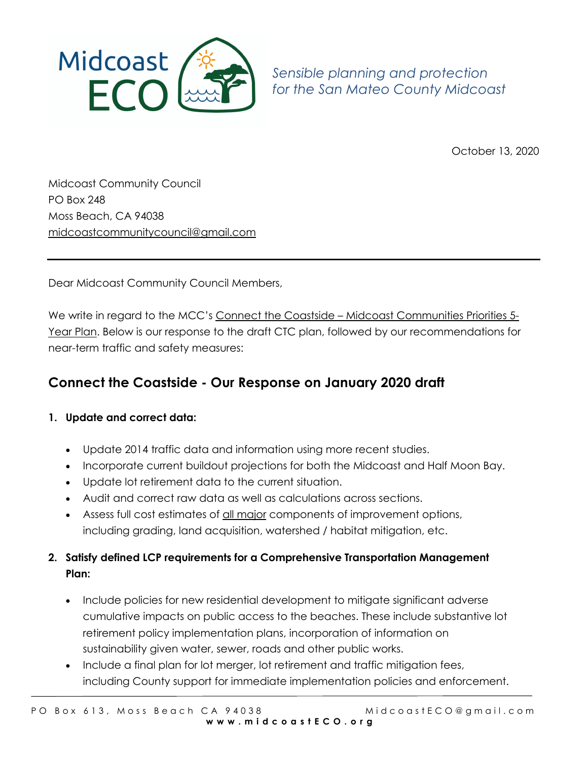

*Sensible planning and protection for the San Mateo County Midcoast*

October 13, 2020

Midcoast Community Council PO Box 248 Moss Beach, CA 94038 midcoastcommunitycouncil@gmail.com

Dear Midcoast Community Council Members,

We write in regard to the MCC's Connect the Coastside – Midcoast Communities Priorities 5-Year Plan. Below is our response to the draft CTC plan, followed by our recommendations for near-term traffic and safety measures:

# **Connect the Coastside - Our Response on January 2020 draft**

# **1. Update and correct data:**

- Update 2014 traffic data and information using more recent studies.
- Incorporate current buildout projections for both the Midcoast and Half Moon Bay.
- Update lot retirement data to the current situation.
- Audit and correct raw data as well as calculations across sections.
- Assess full cost estimates of all major components of improvement options, including grading, land acquisition, watershed / habitat mitigation, etc.

# **2. Satisfy defined LCP requirements for a Comprehensive Transportation Management Plan:**

- Include policies for new residential development to mitigate significant adverse cumulative impacts on public access to the beaches. These include substantive lot retirement policy implementation plans, incorporation of information on sustainability given water, sewer, roads and other public works.
- Include a final plan for lot merger, lot retirement and traffic mitigation fees, including County support for immediate implementation policies and enforcement.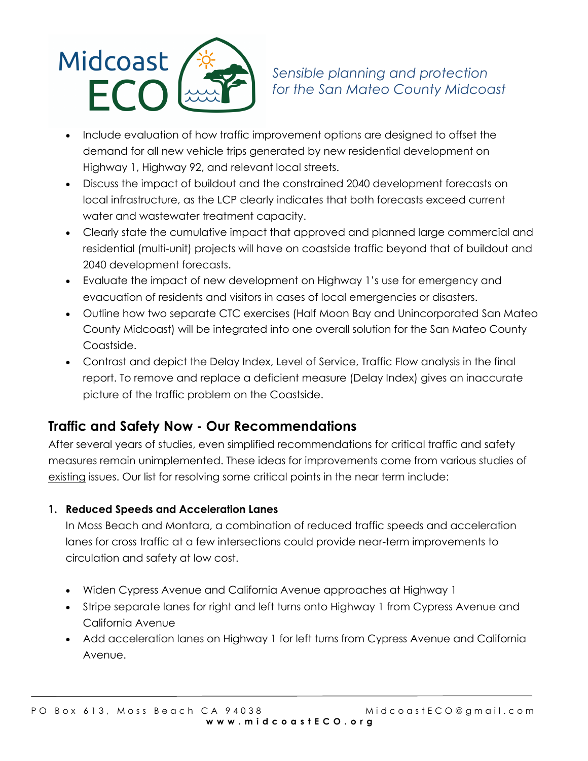

- Include evaluation of how traffic improvement options are designed to offset the demand for all new vehicle trips generated by new residential development on Highway 1, Highway 92, and relevant local streets.
- Discuss the impact of buildout and the constrained 2040 development forecasts on local infrastructure, as the LCP clearly indicates that both forecasts exceed current water and wastewater treatment capacity.
- Clearly state the cumulative impact that approved and planned large commercial and residential (multi-unit) projects will have on coastside traffic beyond that of buildout and 2040 development forecasts.
- Evaluate the impact of new development on Highway 1's use for emergency and evacuation of residents and visitors in cases of local emergencies or disasters.
- Outline how two separate CTC exercises (Half Moon Bay and Unincorporated San Mateo County Midcoast) will be integrated into one overall solution for the San Mateo County Coastside.
- Contrast and depict the Delay Index, Level of Service, Traffic Flow analysis in the final report. To remove and replace a deficient measure (Delay Index) gives an inaccurate picture of the traffic problem on the Coastside.

# **Traffic and Safety Now - Our Recommendations**

After several years of studies, even simplified recommendations for critical traffic and safety measures remain unimplemented. These ideas for improvements come from various studies of existing issues. Our list for resolving some critical points in the near term include:

# **1. Reduced Speeds and Acceleration Lanes**

In Moss Beach and Montara, a combination of reduced traffic speeds and acceleration lanes for cross traffic at a few intersections could provide near-term improvements to circulation and safety at low cost.

- Widen Cypress Avenue and California Avenue approaches at Highway 1
- Stripe separate lanes for right and left turns onto Highway 1 from Cypress Avenue and California Avenue
- Add acceleration lanes on Highway 1 for left turns from Cypress Avenue and California Avenue.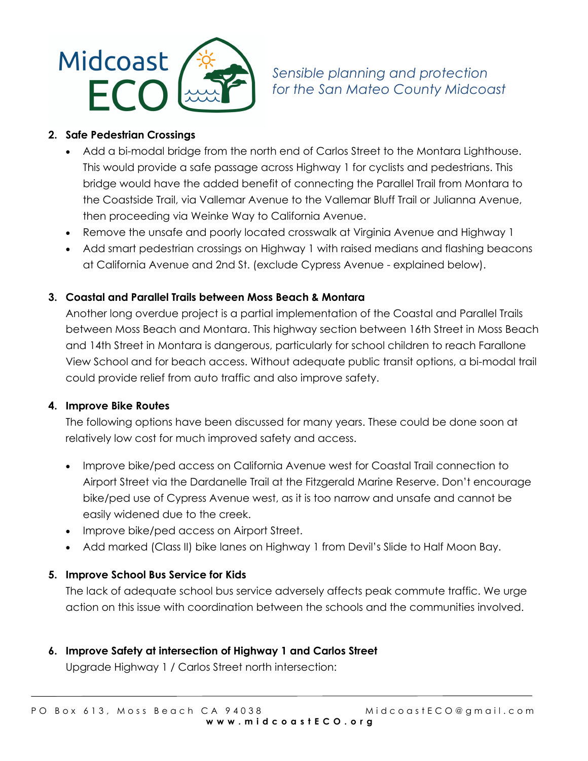

*Sensible planning and protection for the San Mateo County Midcoast*

#### **2. Safe Pedestrian Crossings**

- Add a bi-modal bridge from the north end of Carlos Street to the Montara Lighthouse. This would provide a safe passage across Highway 1 for cyclists and pedestrians. This bridge would have the added benefit of connecting the Parallel Trail from Montara to the Coastside Trail, via Vallemar Avenue to the Vallemar Bluff Trail or Julianna Avenue, then proceeding via Weinke Way to California Avenue.
- Remove the unsafe and poorly located crosswalk at Virginia Avenue and Highway 1
- Add smart pedestrian crossings on Highway 1 with raised medians and flashing beacons at California Avenue and 2nd St. (exclude Cypress Avenue - explained below).

# **3. Coastal and Parallel Trails between Moss Beach & Montara**

Another long overdue project is a partial implementation of the Coastal and Parallel Trails between Moss Beach and Montara. This highway section between 16th Street in Moss Beach and 14th Street in Montara is dangerous, particularly for school children to reach Farallone View School and for beach access. Without adequate public transit options, a bi-modal trail could provide relief from auto traffic and also improve safety.

#### **4. Improve Bike Routes**

The following options have been discussed for many years. These could be done soon at relatively low cost for much improved safety and access.

- Improve bike/ped access on California Avenue west for Coastal Trail connection to Airport Street via the Dardanelle Trail at the Fitzgerald Marine Reserve. Don't encourage bike/ped use of Cypress Avenue west, as it is too narrow and unsafe and cannot be easily widened due to the creek.
- Improve bike/ped access on Airport Street.
- Add marked (Class II) bike lanes on Highway 1 from Devil's Slide to Half Moon Bay.

# **5. Improve School Bus Service for Kids**

The lack of adequate school bus service adversely affects peak commute traffic. We urge action on this issue with coordination between the schools and the communities involved.

**6. Improve Safety at intersection of Highway 1 and Carlos Street**

Upgrade Highway 1 / Carlos Street north intersection: